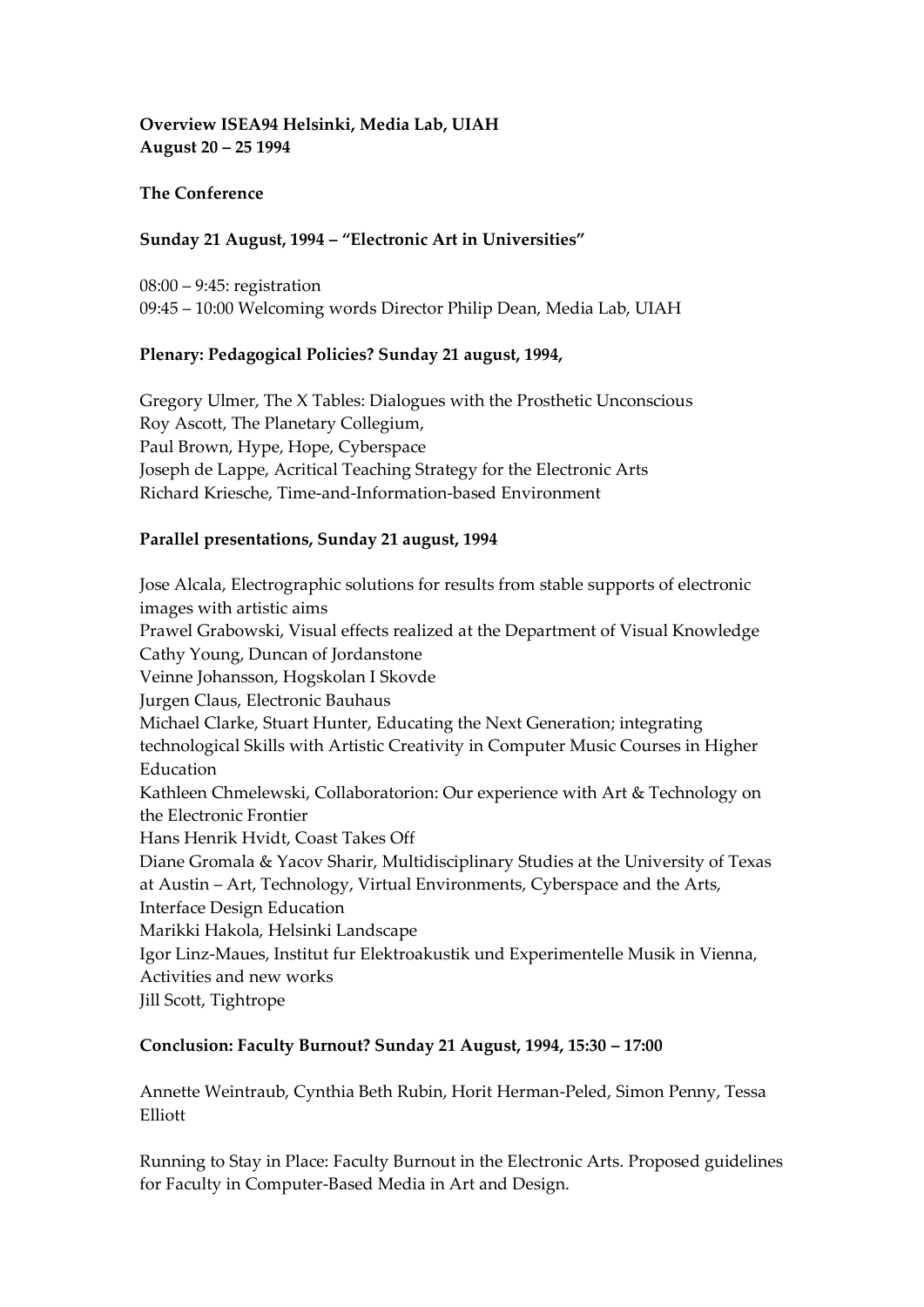### **Overview ISEA94 Helsinki, Media Lab, UIAH August 20 – 25 1994**

### **The Conference**

### **Sunday 21 August, 1994 – "Electronic Art in Universities"**

08:00 – 9:45: registration 09:45 – 10:00 Welcoming words Director Philip Dean, Media Lab, UIAH

### **Plenary: Pedagogical Policies? Sunday 21 august, 1994,**

Gregory Ulmer, The X Tables: Dialogues with the Prosthetic Unconscious Roy Ascott, The Planetary Collegium, Paul Brown, Hype, Hope, Cyberspace Joseph de Lappe, Acritical Teaching Strategy for the Electronic Arts Richard Kriesche, Time-and-Information-based Environment

### **Parallel presentations, Sunday 21 august, 1994**

Jose Alcala, Electrographic solutions for results from stable supports of electronic images with artistic aims Prawel Grabowski, Visual effects realized at the Department of Visual Knowledge Cathy Young, Duncan of Jordanstone Veinne Johansson, Hogskolan I Skovde Jurgen Claus, Electronic Bauhaus Michael Clarke, Stuart Hunter, Educating the Next Generation; integrating technological Skills with Artistic Creativity in Computer Music Courses in Higher Education Kathleen Chmelewski, Collaboratorion: Our experience with Art & Technology on the Electronic Frontier Hans Henrik Hvidt, Coast Takes Off Diane Gromala & Yacov Sharir, Multidisciplinary Studies at the University of Texas at Austin – Art, Technology, Virtual Environments, Cyberspace and the Arts, Interface Design Education Marikki Hakola, Helsinki Landscape Igor Linz-Maues, Institut fur Elektroakustik und Experimentelle Musik in Vienna, Activities and new works Jill Scott, Tightrope

#### **Conclusion: Faculty Burnout? Sunday 21 August, 1994, 15:30 – 17:00**

Annette Weintraub, Cynthia Beth Rubin, Horit Herman-Peled, Simon Penny, Tessa Elliott

Running to Stay in Place: Faculty Burnout in the Electronic Arts. Proposed guidelines for Faculty in Computer-Based Media in Art and Design.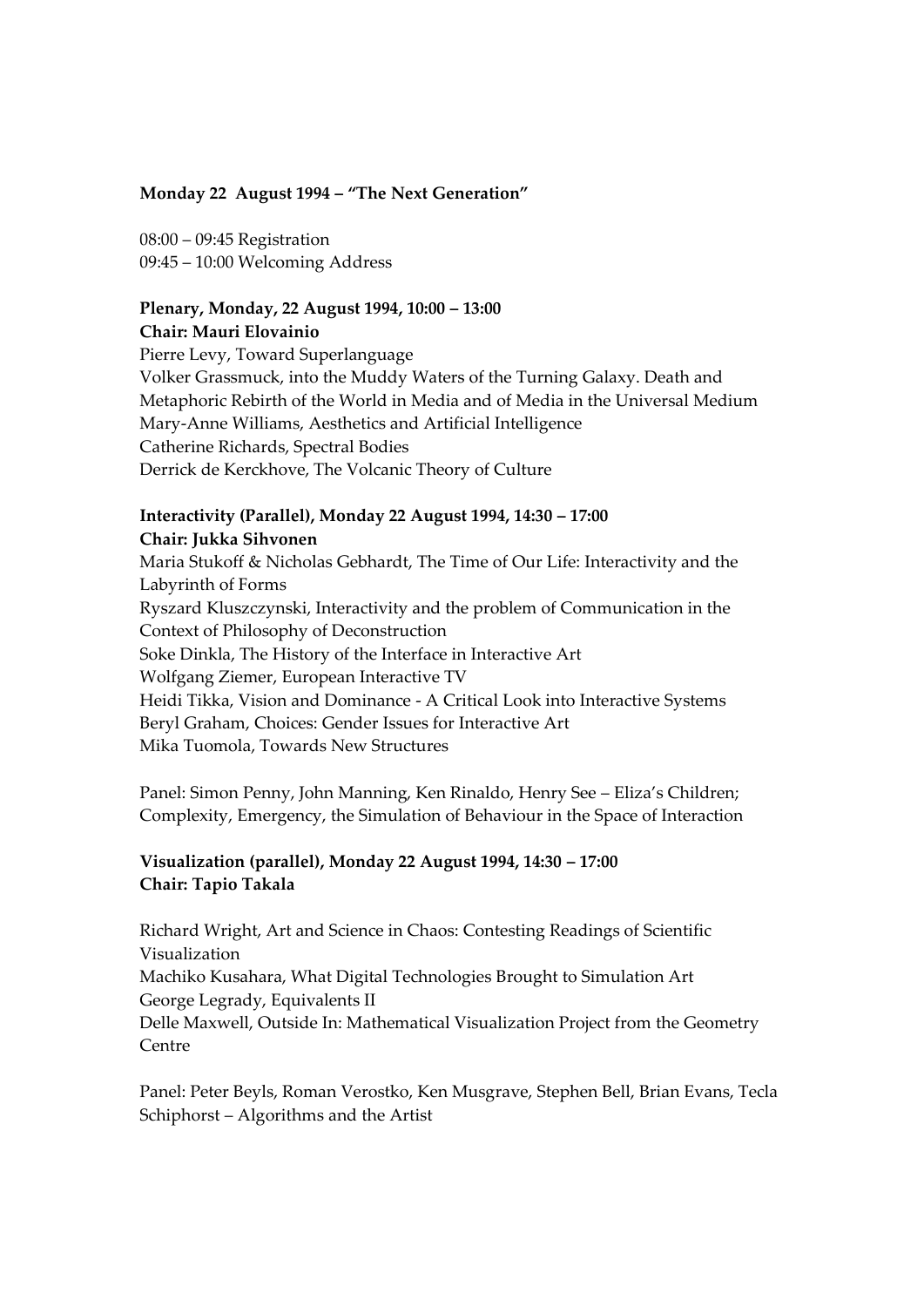#### **Monday 22 August 1994 – "The Next Generation"**

08:00 – 09:45 Registration 09:45 – 10:00 Welcoming Address

# **Plenary, Monday, 22 August 1994, 10:00 – 13:00**

**Chair: Mauri Elovainio** Pierre Levy, Toward Superlanguage

Volker Grassmuck, into the Muddy Waters of the Turning Galaxy. Death and Metaphoric Rebirth of the World in Media and of Media in the Universal Medium Mary-Anne Williams, Aesthetics and Artificial Intelligence Catherine Richards, Spectral Bodies Derrick de Kerckhove, The Volcanic Theory of Culture

### **Interactivity (Parallel), Monday 22 August 1994, 14:30 – 17:00 Chair: Jukka Sihvonen**

Maria Stukoff & Nicholas Gebhardt, The Time of Our Life: Interactivity and the Labyrinth of Forms Ryszard Kluszczynski, Interactivity and the problem of Communication in the Context of Philosophy of Deconstruction Soke Dinkla, The History of the Interface in Interactive Art Wolfgang Ziemer, European Interactive TV Heidi Tikka, Vision and Dominance - A Critical Look into Interactive Systems Beryl Graham, Choices: Gender Issues for Interactive Art Mika Tuomola, Towards New Structures

Panel: Simon Penny, John Manning, Ken Rinaldo, Henry See – Eliza's Children; Complexity, Emergency, the Simulation of Behaviour in the Space of Interaction

## **Visualization (parallel), Monday 22 August 1994, 14:30 – 17:00 Chair: Tapio Takala**

Richard Wright, Art and Science in Chaos: Contesting Readings of Scientific Visualization Machiko Kusahara, What Digital Technologies Brought to Simulation Art George Legrady, Equivalents II Delle Maxwell, Outside In: Mathematical Visualization Project from the Geometry Centre

Panel: Peter Beyls, Roman Verostko, Ken Musgrave, Stephen Bell, Brian Evans, Tecla Schiphorst – Algorithms and the Artist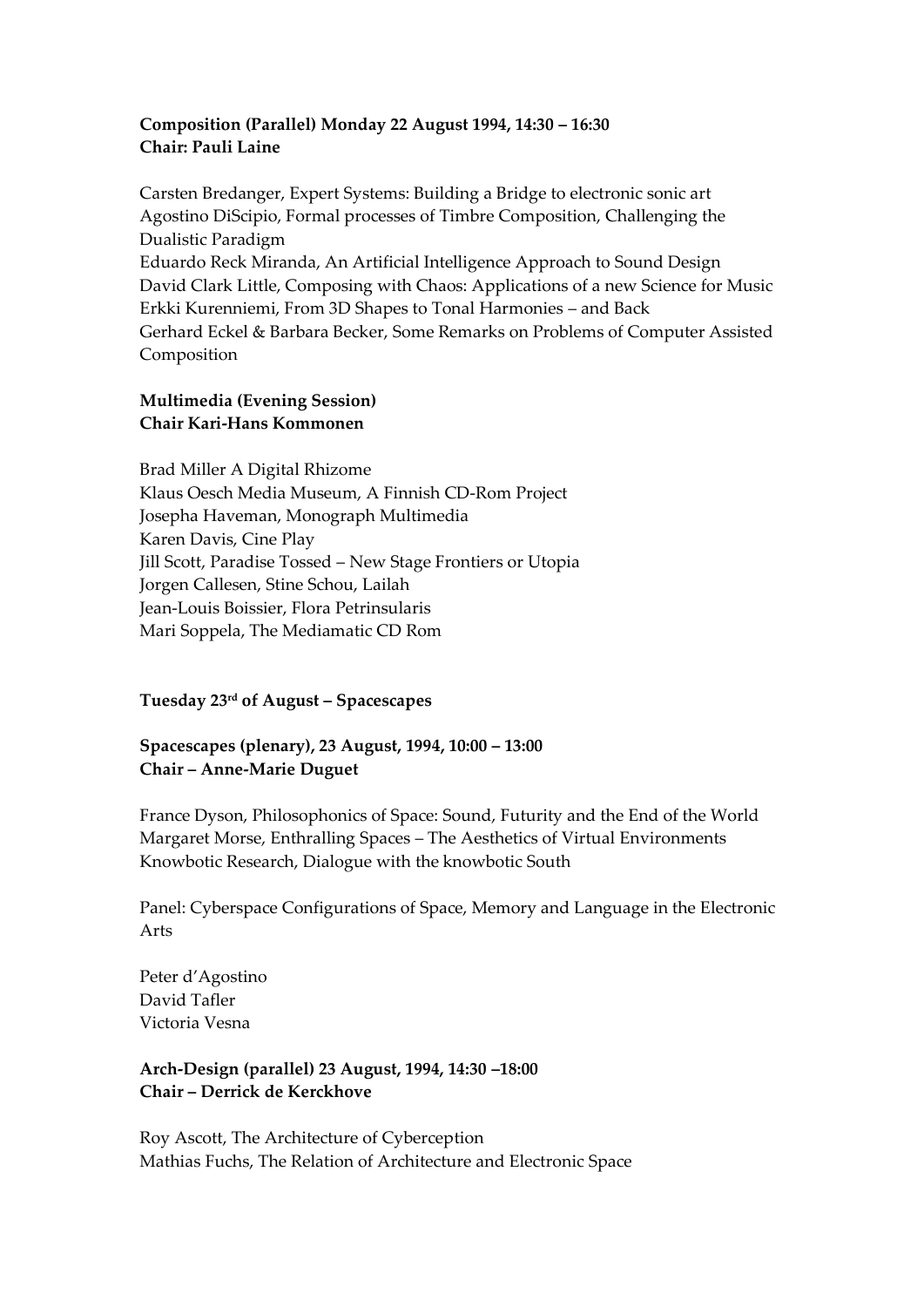## **Composition (Parallel) Monday 22 August 1994, 14:30 – 16:30 Chair: Pauli Laine**

Carsten Bredanger, Expert Systems: Building a Bridge to electronic sonic art Agostino DiScipio, Formal processes of Timbre Composition, Challenging the Dualistic Paradigm Eduardo Reck Miranda, An Artificial Intelligence Approach to Sound Design David Clark Little, Composing with Chaos: Applications of a new Science for Music Erkki Kurenniemi, From 3D Shapes to Tonal Harmonies – and Back Gerhard Eckel & Barbara Becker, Some Remarks on Problems of Computer Assisted Composition

## **Multimedia (Evening Session) Chair Kari-Hans Kommonen**

Brad Miller A Digital Rhizome Klaus Oesch Media Museum, A Finnish CD-Rom Project Josepha Haveman, Monograph Multimedia Karen Davis, Cine Play Jill Scott, Paradise Tossed – New Stage Frontiers or Utopia Jorgen Callesen, Stine Schou, Lailah Jean-Louis Boissier, Flora Petrinsularis Mari Soppela, The Mediamatic CD Rom

## **Tuesday 23rd of August – Spacescapes**

**Spacescapes (plenary), 23 August, 1994, 10:00 – 13:00 Chair – Anne-Marie Duguet**

France Dyson, Philosophonics of Space: Sound, Futurity and the End of the World Margaret Morse, Enthralling Spaces – The Aesthetics of Virtual Environments Knowbotic Research, Dialogue with the knowbotic South

Panel: Cyberspace Configurations of Space, Memory and Language in the Electronic Arts

Peter d'Agostino David Tafler Victoria Vesna

### **Arch-Design (parallel) 23 August, 1994, 14:30 –18:00 Chair – Derrick de Kerckhove**

Roy Ascott, The Architecture of Cyberception Mathias Fuchs, The Relation of Architecture and Electronic Space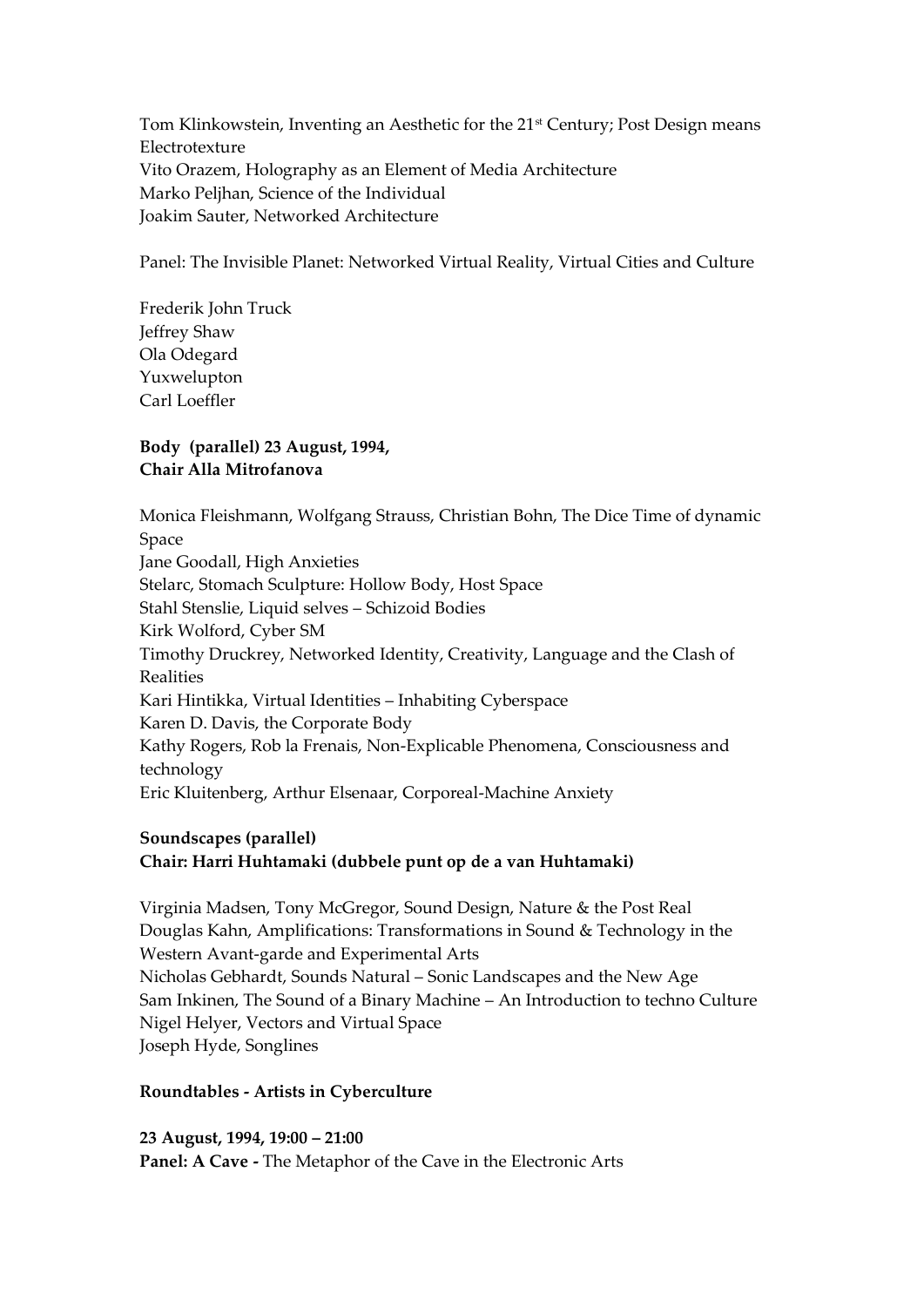Tom Klinkowstein, Inventing an Aesthetic for the 21<sup>st</sup> Century; Post Design means Electrotexture Vito Orazem, Holography as an Element of Media Architecture Marko Peljhan, Science of the Individual Joakim Sauter, Networked Architecture

Panel: The Invisible Planet: Networked Virtual Reality, Virtual Cities and Culture

Frederik John Truck Jeffrey Shaw Ola Odegard Yuxwelupton Carl Loeffler

## **Body (parallel) 23 August, 1994, Chair Alla Mitrofanova**

Monica Fleishmann, Wolfgang Strauss, Christian Bohn, The Dice Time of dynamic Space Jane Goodall, High Anxieties Stelarc, Stomach Sculpture: Hollow Body, Host Space Stahl Stenslie, Liquid selves – Schizoid Bodies Kirk Wolford, Cyber SM Timothy Druckrey, Networked Identity, Creativity, Language and the Clash of Realities Kari Hintikka, Virtual Identities – Inhabiting Cyberspace Karen D. Davis, the Corporate Body Kathy Rogers, Rob la Frenais, Non-Explicable Phenomena, Consciousness and technology Eric Kluitenberg, Arthur Elsenaar, Corporeal-Machine Anxiety

## **Soundscapes (parallel)**

## **Chair: Harri Huhtamaki (dubbele punt op de a van Huhtamaki)**

Virginia Madsen, Tony McGregor, Sound Design, Nature & the Post Real Douglas Kahn, Amplifications: Transformations in Sound & Technology in the Western Avant-garde and Experimental Arts Nicholas Gebhardt, Sounds Natural – Sonic Landscapes and the New Age Sam Inkinen, The Sound of a Binary Machine – An Introduction to techno Culture Nigel Helyer, Vectors and Virtual Space Joseph Hyde, Songlines

#### **Roundtables - Artists in Cyberculture**

**23 August, 1994, 19:00 – 21:00 Panel: A Cave -** The Metaphor of the Cave in the Electronic Arts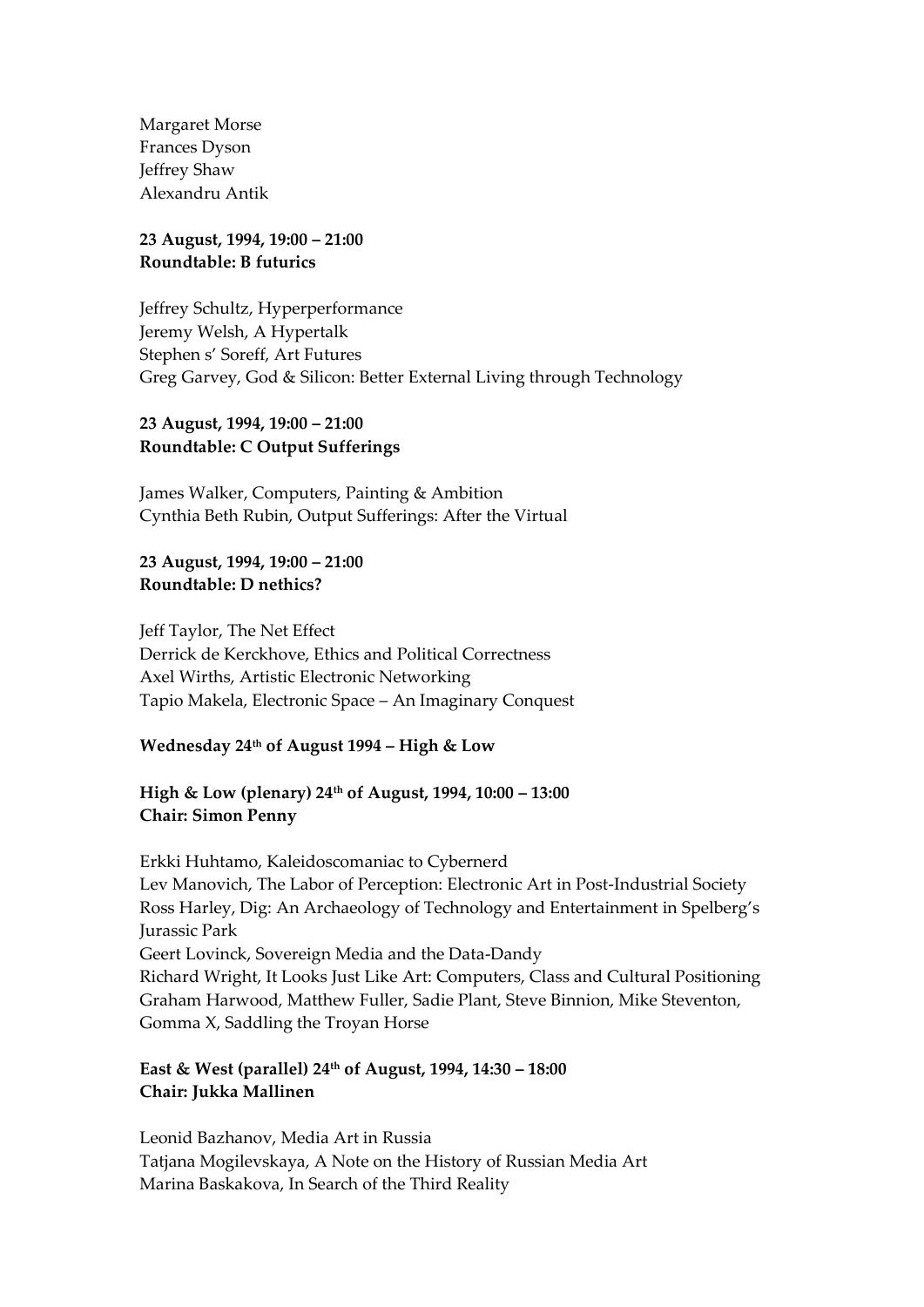Margaret Morse Frances Dyson Jeffrey Shaw Alexandru Antik

#### **23 August, 1994, 19:00 – 21:00 Roundtable: B futurics**

Jeffrey Schultz, Hyperperformance Jeremy Welsh, A Hypertalk Stephen s' Soreff, Art Futures Greg Garvey, God & Silicon: Better External Living through Technology

### **23 August, 1994, 19:00 – 21:00 Roundtable: C Output Sufferings**

James Walker, Computers, Painting & Ambition Cynthia Beth Rubin, Output Sufferings: After the Virtual

### **23 August, 1994, 19:00 – 21:00 Roundtable: D nethics?**

Jeff Taylor, The Net Effect Derrick de Kerckhove, Ethics and Political Correctness Axel Wirths, Artistic Electronic Networking Tapio Makela, Electronic Space – An Imaginary Conquest

## **Wednesday 24th of August 1994 – High & Low**

# **High & Low (plenary) 24th of August, 1994, 10:00 – 13:00 Chair: Simon Penny**

Erkki Huhtamo, Kaleidoscomaniac to Cybernerd Lev Manovich, The Labor of Perception: Electronic Art in Post-Industrial Society Ross Harley, Dig: An Archaeology of Technology and Entertainment in Spelberg's Jurassic Park Geert Lovinck, Sovereign Media and the Data-Dandy Richard Wright, It Looks Just Like Art: Computers, Class and Cultural Positioning Graham Harwood, Matthew Fuller, Sadie Plant, Steve Binnion, Mike Steventon, Gomma X, Saddling the Troyan Horse

# **East & West (parallel) 24th of August, 1994, 14:30 – 18:00 Chair: Jukka Mallinen**

Leonid Bazhanov, Media Art in Russia Tatjana Mogilevskaya, A Note on the History of Russian Media Art Marina Baskakova, In Search of the Third Reality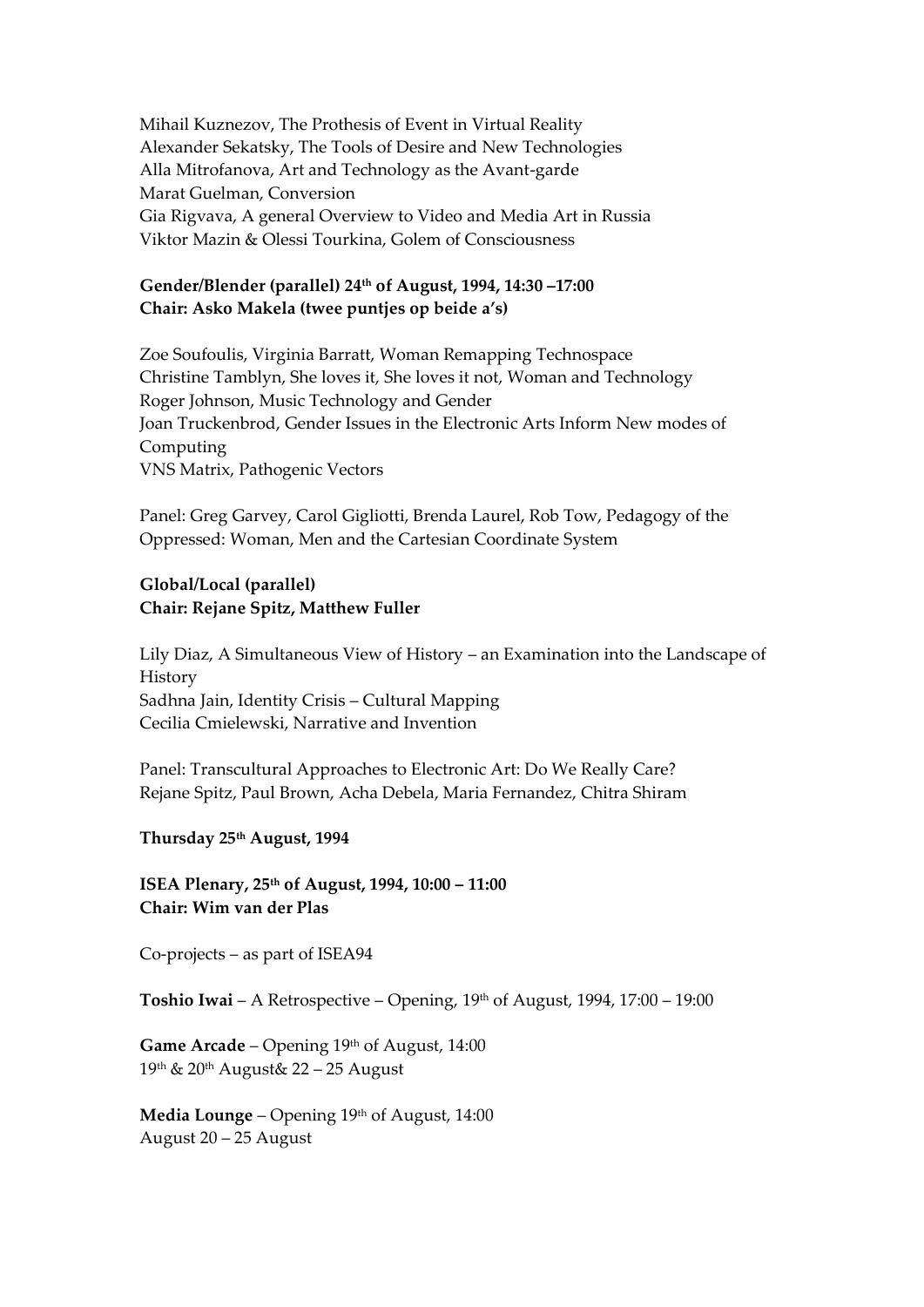Mihail Kuznezov, The Prothesis of Event in Virtual Reality Alexander Sekatsky, The Tools of Desire and New Technologies Alla Mitrofanova, Art and Technology as the Avant-garde Marat Guelman, Conversion Gia Rigvava, A general Overview to Video and Media Art in Russia Viktor Mazin & Olessi Tourkina, Golem of Consciousness

### **Gender/Blender (parallel) 24th of August, 1994, 14:30 –17:00 Chair: Asko Makela (twee puntjes op beide a's)**

Zoe Soufoulis, Virginia Barratt, Woman Remapping Technospace Christine Tamblyn, She loves it, She loves it not, Woman and Technology Roger Johnson, Music Technology and Gender Joan Truckenbrod, Gender Issues in the Electronic Arts Inform New modes of Computing VNS Matrix, Pathogenic Vectors

Panel: Greg Garvey, Carol Gigliotti, Brenda Laurel, Rob Tow, Pedagogy of the Oppressed: Woman, Men and the Cartesian Coordinate System

#### **Global/Local (parallel) Chair: Rejane Spitz, Matthew Fuller**

Lily Diaz, A Simultaneous View of History – an Examination into the Landscape of **History** Sadhna Jain, Identity Crisis – Cultural Mapping Cecilia Cmielewski, Narrative and Invention

Panel: Transcultural Approaches to Electronic Art: Do We Really Care? Rejane Spitz, Paul Brown, Acha Debela, Maria Fernandez, Chitra Shiram

#### **Thursday 25th August, 1994**

**ISEA Plenary, 25th of August, 1994, 10:00 – 11:00 Chair: Wim van der Plas**

Co-projects – as part of ISEA94

Toshio Iwai – A Retrospective – Opening, 19<sup>th</sup> of August, 1994, 17:00 – 19:00

**Game Arcade** – Opening 19th of August, 14:00 19th & 20th August& 22 – 25 August

**Media Lounge** – Opening 19th of August, 14:00 August 20 – 25 August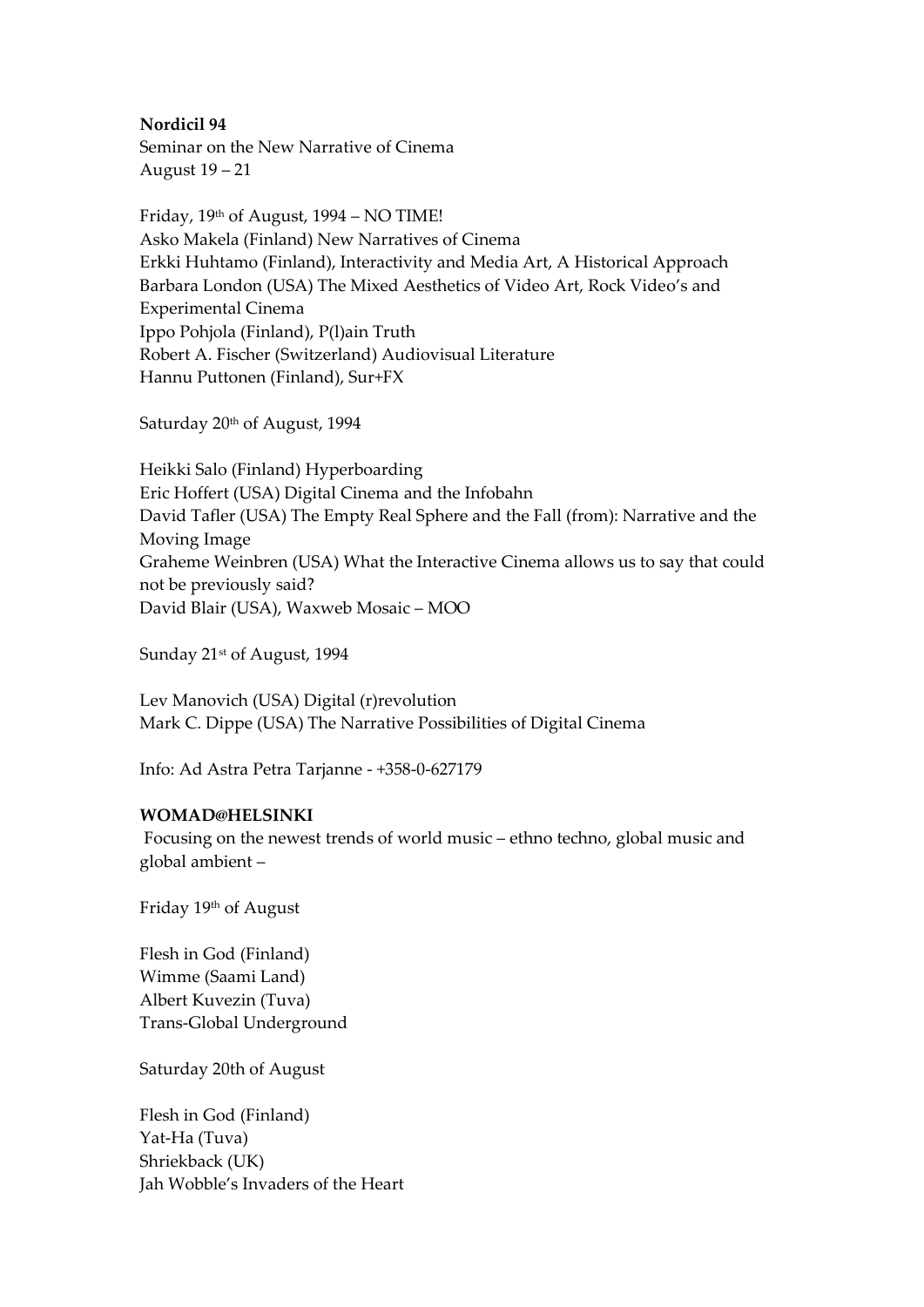**Nordicil 94**

Seminar on the New Narrative of Cinema August 19 – 21

Friday, 19th of August, 1994 – NO TIME! Asko Makela (Finland) New Narratives of Cinema Erkki Huhtamo (Finland), Interactivity and Media Art, A Historical Approach Barbara London (USA) The Mixed Aesthetics of Video Art, Rock Video's and Experimental Cinema Ippo Pohjola (Finland), P(l)ain Truth Robert A. Fischer (Switzerland) Audiovisual Literature Hannu Puttonen (Finland), Sur+FX

Saturday 20<sup>th</sup> of August, 1994

Heikki Salo (Finland) Hyperboarding Eric Hoffert (USA) Digital Cinema and the Infobahn David Tafler (USA) The Empty Real Sphere and the Fall (from): Narrative and the Moving Image Graheme Weinbren (USA) What the Interactive Cinema allows us to say that could not be previously said? David Blair (USA), Waxweb Mosaic – MOO

Sunday 21<sup>st</sup> of August, 1994

Lev Manovich (USA) Digital (r)revolution Mark C. Dippe (USA) The Narrative Possibilities of Digital Cinema

Info: Ad Astra Petra Tarjanne - +358-0-627179

#### **WOMAD@HELSINKI**

Focusing on the newest trends of world music – ethno techno, global music and global ambient –

Friday 19th of August

Flesh in God (Finland) Wimme (Saami Land) Albert Kuvezin (Tuva) Trans-Global Underground

Saturday 20th of August

Flesh in God (Finland) Yat-Ha (Tuva) Shriekback (UK) Jah Wobble's Invaders of the Heart